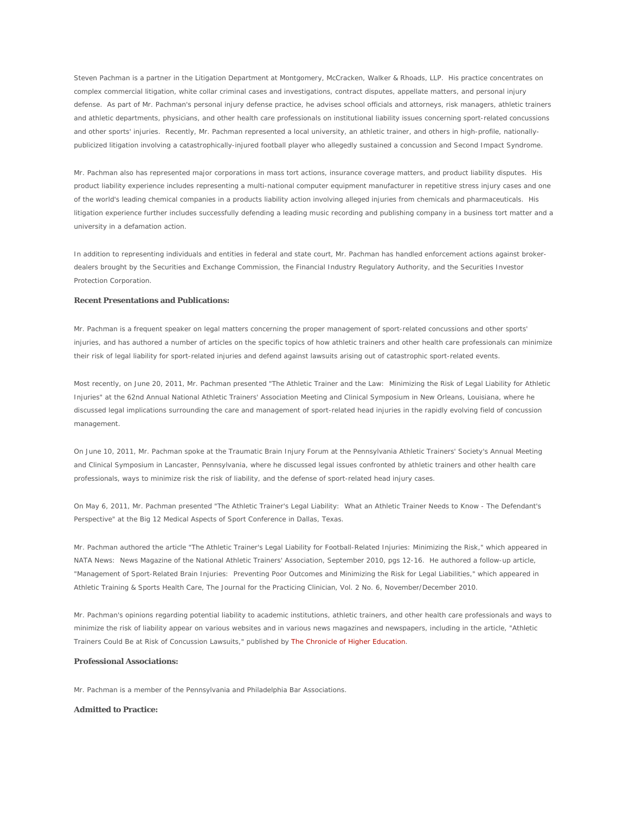Steven Pachman is a partner in the Litigation Department at Montgomery, McCracken, Walker & Rhoads, LLP. His practice concentrates on complex commercial litigation, white collar criminal cases and investigations, contract disputes, appellate matters, and personal injury defense. As part of Mr. Pachman's personal injury defense practice, he advises school officials and attorneys, risk managers, athletic trainers and athletic departments, physicians, and other health care professionals on institutional liability issues concerning sport-related concussions and other sports' injuries. Recently, Mr. Pachman represented a local university, an athletic trainer, and others in high-profile, nationallypublicized litigation involving a catastrophically-injured football player who allegedly sustained a concussion and Second Impact Syndrome.

Mr. Pachman also has represented major corporations in mass tort actions, insurance coverage matters, and product liability disputes. His product liability experience includes representing a multi-national computer equipment manufacturer in repetitive stress injury cases and one of the world's leading chemical companies in a products liability action involving alleged injuries from chemicals and pharmaceuticals. His litigation experience further includes successfully defending a leading music recording and publishing company in a business tort matter and a university in a defamation action.

In addition to representing individuals and entities in federal and state court, Mr. Pachman has handled enforcement actions against brokerdealers brought by the Securities and Exchange Commission, the Financial Industry Regulatory Authority, and the Securities Investor Protection Corporation.

## **Recent Presentations and Publications:**

Mr. Pachman is a frequent speaker on legal matters concerning the proper management of sport-related concussions and other sports' injuries, and has authored a number of articles on the specific topics of how athletic trainers and other health care professionals can minimize their risk of legal liability for sport-related injuries and defend against lawsuits arising out of catastrophic sport-related events.

Most recently, on June 20, 2011, Mr. Pachman presented "The Athletic Trainer and the Law: Minimizing the Risk of Legal Liability for Athletic Injuries" at the 62nd Annual National Athletic Trainers' Association Meeting and Clinical Symposium in New Orleans, Louisiana, where he discussed legal implications surrounding the care and management of sport-related head injuries in the rapidly evolving field of concussion management.

On June 10, 2011, Mr. Pachman spoke at the Traumatic Brain Injury Forum at the Pennsylvania Athletic Trainers' Society's Annual Meeting and Clinical Symposium in Lancaster, Pennsylvania, where he discussed legal issues confronted by athletic trainers and other health care professionals, ways to minimize risk the risk of liability, and the defense of sport-related head injury cases.

On May 6, 2011, Mr. Pachman presented "The Athletic Trainer's Legal Liability: What an Athletic Trainer Needs to Know - The Defendant's Perspective" at the Big 12 Medical Aspects of Sport Conference in Dallas, Texas.

Mr. Pachman authored the article "The Athletic Trainer's Legal Liability for Football-Related Injuries: *Minimizing the Risk*," which appeared in *NATA News: News Magazine of the National Athletic Trainers' Association*, September 2010, pgs 12-16. He authored a follow-up article, "Management of Sport-Related Brain Injuries: Preventing Poor Outcomes and Minimizing the Risk for Legal Liabilities," which appeared in *Athletic Training & Sports Health Care, The Journal for the Practicing Clinician*, Vol. 2 No. 6, November/December 2010.

Mr. Pachman's opinions regarding potential liability to academic institutions, athletic trainers, and other health care professionals and ways to minimize the risk of liability appear on various websites and in various news magazines and newspapers, including in the article, "Athletic Trainers Could Be at Risk of Concussion Lawsuits," published by *The Chronicle of Higher Education*.

## **Professional Associations:**

Mr. Pachman is a member of the Pennsylvania and Philadelphia Bar Associations.

## **Admitted to Practice:**